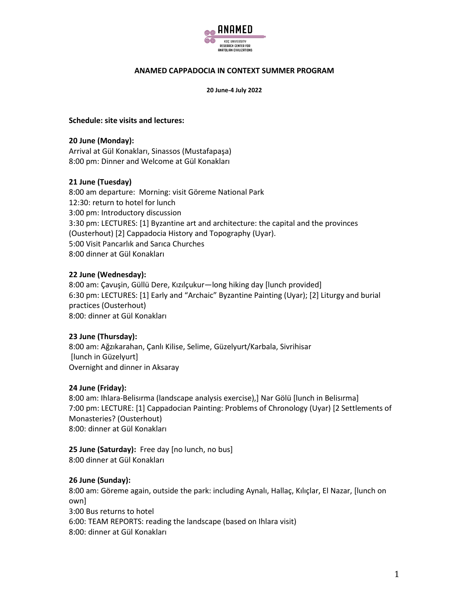

## **ANAMED CAPPADOCIA IN CONTEXT SUMMER PROGRAM**

**20 June-4 July 2022**

#### **Schedule: site visits and lectures:**

**20 June (Monday):** Arrival at Gül Konakları, Sinassos (Mustafapaşa) 8:00 pm: Dinner and Welcome at Gül Konakları

## **21 June (Tuesday)**

8:00 am departure: Morning: visit Göreme National Park 12:30: return to hotel for lunch 3:00 pm: Introductory discussion 3:30 pm: LECTURES: [1] Byzantine art and architecture: the capital and the provinces (Ousterhout) [2] Cappadocia History and Topography (Uyar). 5:00 Visit Pancarlık and Sarıca Churches 8:00 dinner at Gül Konakları

## **22 June (Wednesday):**

8:00 am: Çavuşin, Güllü Dere, Kızılçukur—long hiking day [lunch provided] 6:30 pm: LECTURES: [1] Early and "Archaic" Byzantine Painting (Uyar); [2] Liturgy and burial practices (Ousterhout) 8:00: dinner at Gül Konakları

## **23 June (Thursday):**

8:00 am: Ağzıkarahan, Çanlı Kilise, Selime, Güzelyurt/Karbala, Sivrihisar [lunch in Güzelyurt] Overnight and dinner in Aksaray

## **24 June (Friday):**

8:00 am: Ihlara-Belisırma (landscape analysis exercise),] Nar Gölü [lunch in Belisırma] 7:00 pm: LECTURE: [1] Cappadocian Painting: Problems of Chronology (Uyar) [2 Settlements of Monasteries? (Ousterhout) 8:00: dinner at Gül Konakları

**25 June (Saturday):** Free day [no lunch, no bus] 8:00 dinner at Gül Konakları

## **26 June (Sunday):**

8:00 am: Göreme again, outside the park: including Aynalı, Hallaç, Kılıçlar, El Nazar, [lunch on own] 3:00 Bus returns to hotel 6:00: TEAM REPORTS: reading the landscape (based on Ihlara visit) 8:00: dinner at Gül Konakları